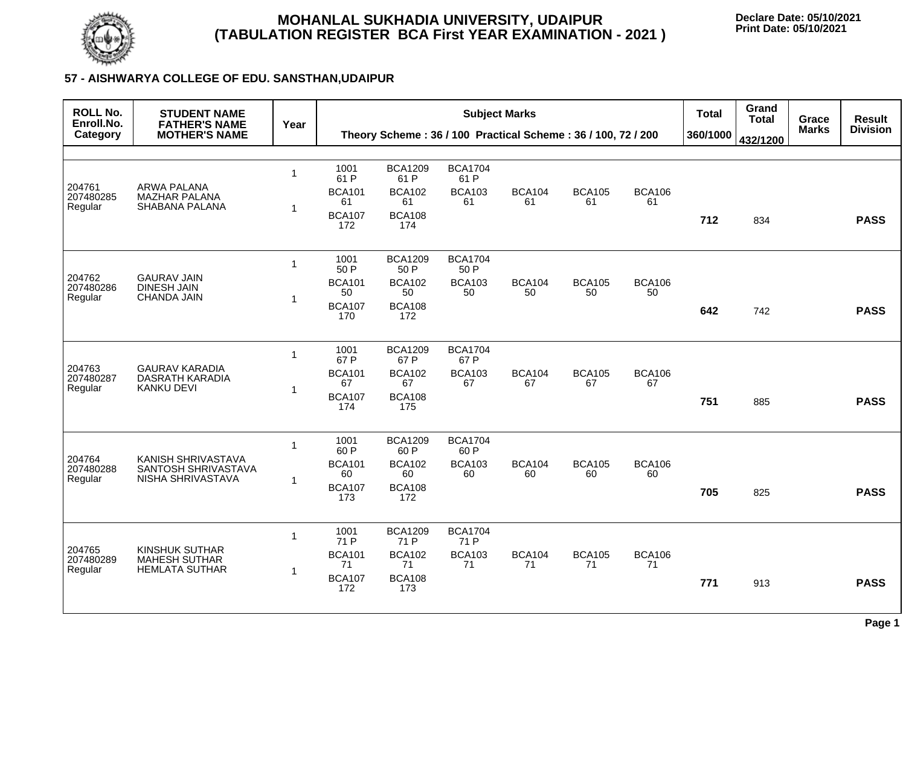

## **MOHANLAL SUKHADIA UNIVERSITY, UDAIPUR (TABULATION REGISTER BCA First YEAR EXAMINATION - 2021 )**

**Declare Date: 05/10/2021 Print Date: 05/10/2021**

## **57 - AISHWARYA COLLEGE OF EDU. SANSTHAN,UDAIPUR**

| <b>ROLL No.</b><br>Enroll.No.  | <b>STUDENT NAME</b><br><b>FATHER'S NAME</b><br><b>MOTHER'S NAME</b>    | Year                    | <b>Subject Marks</b> |                        |                        |                                                              |                     | <b>Total</b>        | Grand<br><b>Total</b> | <b>Grace</b> | <b>Result</b> |                 |
|--------------------------------|------------------------------------------------------------------------|-------------------------|----------------------|------------------------|------------------------|--------------------------------------------------------------|---------------------|---------------------|-----------------------|--------------|---------------|-----------------|
| Category                       |                                                                        |                         |                      |                        |                        | Theory Scheme: 36 / 100 Practical Scheme: 36 / 100, 72 / 200 |                     |                     | 360/1000              | 432/1200     | <b>Marks</b>  | <b>Division</b> |
|                                |                                                                        |                         |                      |                        |                        |                                                              |                     |                     |                       |              |               |                 |
|                                | <b>ARWA PALANA</b>                                                     | -1                      | 1001<br>61 P         | <b>BCA1209</b><br>61 P | <b>BCA1704</b><br>61 P |                                                              |                     |                     |                       |              |               |                 |
| 204761<br>207480285<br>Regular | <b>MAZHAR PALANA</b><br><b>SHABANA PALANA</b>                          | -1                      | <b>BCA101</b><br>61  | <b>BCA102</b><br>61    | <b>BCA103</b><br>61    | <b>BCA104</b><br>61                                          | <b>BCA105</b><br>61 | <b>BCA106</b><br>61 |                       |              |               |                 |
|                                |                                                                        |                         | <b>BCA107</b><br>172 | <b>BCA108</b><br>174   |                        |                                                              |                     |                     | 712                   | 834          |               | <b>PASS</b>     |
| 204762                         | <b>GAURAV JAIN</b><br><b>DINESH JAIN</b><br><b>CHANDA JAIN</b>         | $\overline{1}$          | 1001<br>50 P         | <b>BCA1209</b><br>50 P | <b>BCA1704</b><br>50 P |                                                              |                     |                     |                       |              |               |                 |
| 207480286                      |                                                                        | -1                      | <b>BCA101</b><br>50  | <b>BCA102</b><br>50    | <b>BCA103</b><br>50    | <b>BCA104</b><br>50                                          | <b>BCA105</b><br>50 | <b>BCA106</b><br>50 |                       |              |               |                 |
| Regular                        |                                                                        |                         | <b>BCA107</b><br>170 | <b>BCA108</b><br>172   |                        |                                                              |                     |                     | 642                   | 742          |               | <b>PASS</b>     |
|                                | <b>GAURAV KARADIA</b><br><b>DASRATH KARADIA</b><br><b>KANKU DEVI</b>   | $\overline{\mathbf{1}}$ | 1001<br>67 P         | <b>BCA1209</b><br>67 P | <b>BCA1704</b><br>67 P |                                                              |                     |                     |                       |              |               |                 |
| 204763<br>207480287<br>Regular |                                                                        |                         | <b>BCA101</b><br>67  | <b>BCA102</b><br>67    | <b>BCA103</b><br>67    | <b>BCA104</b><br>67                                          | <b>BCA105</b><br>67 | <b>BCA106</b><br>67 |                       |              |               |                 |
|                                |                                                                        | -1                      | <b>BCA107</b><br>174 | <b>BCA108</b><br>175   |                        |                                                              |                     |                     | 751                   | 885          |               | <b>PASS</b>     |
| 204764<br>207480288<br>Regular | KANISH SHRIVASTAVA<br>SANTOSH SHRIVASTAVA<br>NISHA SHRIVASTAVA         | -1                      | 1001<br>60 P         | <b>BCA1209</b><br>60 P | <b>BCA1704</b><br>60 P |                                                              |                     |                     |                       |              |               |                 |
|                                |                                                                        |                         | <b>BCA101</b><br>60  | <b>BCA102</b><br>60    | <b>BCA103</b><br>60    | <b>BCA104</b><br>60                                          | <b>BCA105</b><br>60 | <b>BCA106</b><br>60 |                       |              |               |                 |
|                                |                                                                        | -1                      | <b>BCA107</b><br>173 | <b>BCA108</b><br>172   |                        |                                                              |                     |                     | 705                   | 825          |               | <b>PASS</b>     |
| 204765<br>207480289<br>Regular | <b>KINSHUK SUTHAR</b><br><b>MAHESH SUTHAR</b><br><b>HEMLATA SUTHAR</b> |                         | 1001<br>71 P         | <b>BCA1209</b><br>71 P | <b>BCA1704</b><br>71 P |                                                              |                     |                     |                       |              |               |                 |
|                                |                                                                        |                         | <b>BCA101</b><br>71  | <b>BCA102</b><br>71    | <b>BCA103</b><br>71    | <b>BCA104</b><br>71                                          | <b>BCA105</b><br>71 | <b>BCA106</b><br>71 |                       |              |               |                 |
|                                |                                                                        |                         | <b>BCA107</b><br>172 | <b>BCA108</b><br>173   |                        |                                                              |                     |                     | 771                   | 913          |               | <b>PASS</b>     |
|                                |                                                                        |                         |                      |                        |                        |                                                              |                     |                     |                       |              |               | Page 1          |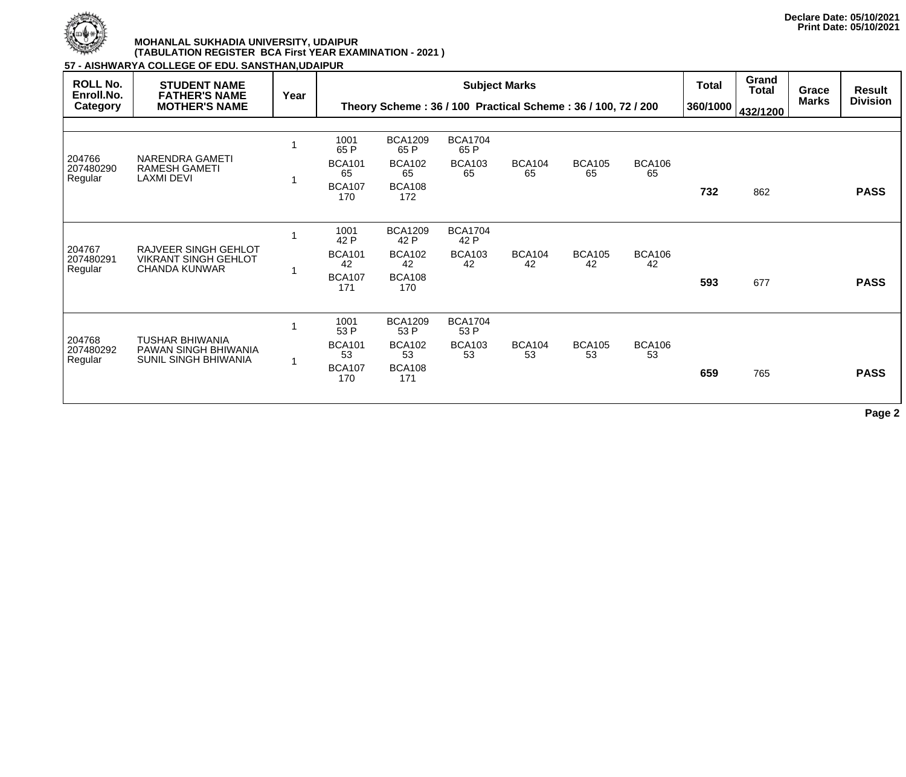

## **MOHANLAL SUKHADIA UNIVERSITY, UDAIPUR (TABULATION REGISTER BCA First YEAR EXAMINATION - 2021 )**

**57 - AISHWARYA COLLEGE OF EDU. SANSTHAN,UDAIPUR**

| <b>ROLL No.</b><br>Enroll.No.<br><b>Category</b> | <b>STUDENT NAME</b><br><b>FATHER'S NAME</b><br><b>MOTHER'S NAME</b>           | Year |                                                             | Theory Scheme: 36 / 100 Practical Scheme: 36 / 100, 72 / 200          |                                               | <b>Subject Marks</b> |                     |                     | <b>Total</b><br>360/1000 | Grand<br>Total<br>432/1200 | Grace<br><b>Marks</b> | <b>Result</b><br><b>Division</b> |
|--------------------------------------------------|-------------------------------------------------------------------------------|------|-------------------------------------------------------------|-----------------------------------------------------------------------|-----------------------------------------------|----------------------|---------------------|---------------------|--------------------------|----------------------------|-----------------------|----------------------------------|
| 204766<br>207480290<br>Regular                   | <b>NARENDRA GAMETI</b><br><b>RAMESH GAMETI</b><br><b>LAXMI DEVI</b>           |      | 1001<br>65 P<br><b>BCA101</b><br>65<br><b>BCA107</b><br>170 | <b>BCA1209</b><br>65 P<br><b>BCA102</b><br>65<br><b>BCA108</b><br>172 | <b>BCA1704</b><br>65 P<br><b>BCA103</b><br>65 | <b>BCA104</b><br>65  | <b>BCA105</b><br>65 | <b>BCA106</b><br>65 | 732                      | 862                        |                       | <b>PASS</b>                      |
| 204767<br>207480291<br>Regular                   | RAJVEER SINGH GEHLOT<br><b>VIKRANT SINGH GEHLOT</b><br><b>CHANDA KUNWAR</b>   |      | 1001<br>42 P<br><b>BCA101</b><br>42<br><b>BCA107</b><br>171 | <b>BCA1209</b><br>42 P<br><b>BCA102</b><br>42<br><b>BCA108</b><br>170 | <b>BCA1704</b><br>42 P<br><b>BCA103</b><br>42 | <b>BCA104</b><br>42  | <b>BCA105</b><br>42 | <b>BCA106</b><br>42 | 593                      | 677                        |                       | <b>PASS</b>                      |
| 204768<br>207480292<br>Regular                   | <b>TUSHAR BHIWANIA</b><br>PAWAN SINGH BHIWANIA<br><b>SUNIL SINGH BHIWANIA</b> | -1   | 1001<br>53 P<br><b>BCA101</b><br>53<br><b>BCA107</b><br>170 | <b>BCA1209</b><br>53 P<br><b>BCA102</b><br>53<br><b>BCA108</b><br>171 | <b>BCA1704</b><br>53 P<br><b>BCA103</b><br>53 | <b>BCA104</b><br>53  | <b>BCA105</b><br>53 | <b>BCA106</b><br>53 | 659                      | 765                        |                       | <b>PASS</b>                      |

**Page 2**